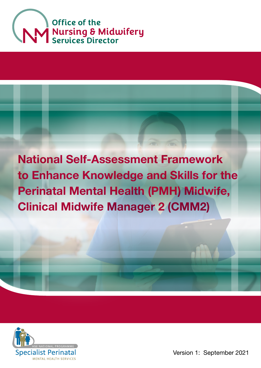

**National Self-Assessment Framework to Enhance Knowledge and Skills for the Perinatal Mental Health (PMH) Midwife, Clinical Midwife Manager 2 (CMM2)**



Version 1: September 2021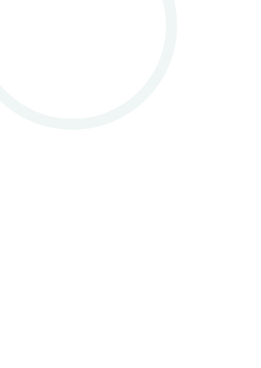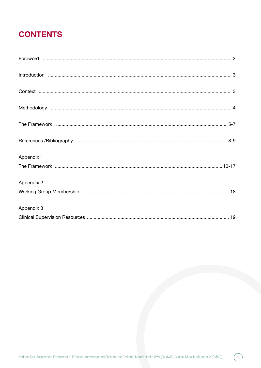# **CONTENTS**

| Appendix 1 |
|------------|
|            |
| Appendix 2 |
|            |
| Appendix 3 |
|            |

 $\bigcap$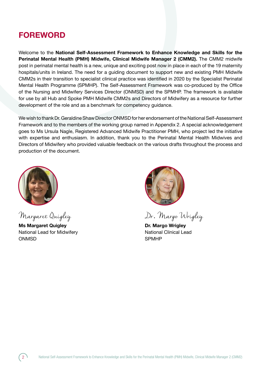### **FOREWORD**

Welcome to the **National Self-Assessment Framework to Enhance Knowledge and Skills for the Perinatal Mental Health (PMH) Midwife, Clinical Midwife Manager 2 (CMM2).** The CMM2 midwife post in perinatal mental health is a new, unique and exciting post now in place in each of the 19 maternity hospitals/units in Ireland. The need for a guiding document to support new and existing PMH Midwife CMM2s in their transition to specialist clinical practice was identified in 2020 by the Specialist Perinatal Mental Health Programme (SPMHP). The Self-Assessment Framework was co-produced by the Office of the Nursing and Midwifery Services Director (ONMSD) and the SPMHP. The framework is available for use by all Hub and Spoke PMH Midwife CMM2s and Directors of Midwifery as a resource for further development of the role and as a benchmark for competency guidance.

We wish to thank Dr. Geraldine Shaw Director ONMSD for her endorsement of the National Self-Assessment Framework and to the members of the working group named in Appendix 2. A special acknowledgement goes to Ms Ursula Nagle, Registered Advanced Midwife Practitioner PMH, who project led the initiative with expertise and enthusiasm. In addition, thank you to the Perinatal Mental Health Midwives and Directors of Midwifery who provided valuable feedback on the various drafts throughout the process and production of the document.



**Ms Margaret Quigley Construction Construction Construction Dr. Margo Wrigley Construction Construction Construction Construction Construction Construction Construction Construction Construction Construction Construction C** National Lead for Midwifery National Clinical Lead ONMSD SPMHP



Margaret Quigley Dr. Margo Wrigley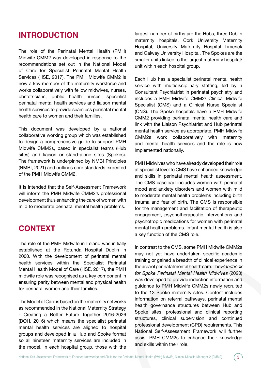### **INTRODUCTION**

The role of the Perinatal Mental Health (PMH) Midwife CMM2 was developed in response to the recommendations set out in the National Model of Care for Specialist Perinatal Mental Health Services (HSE, 2017). The PMH Midwife CMM2 is now a key member of the maternity workforce and works collaboratively with fellow midwives, nurses, obstetricians, public health nurses, specialist perinatal mental health services and liaison mental health services to provide seamless perinatal mental health care to women and their families.

This document was developed by a national collaborative working group which was established to design a comprehensive guide to support PMH Midwife CMM2s, based in specialist teams (Hub sites) and liaison or stand-alone sites (Spokes). The framework is underpinned by NMBI Principles (NMBI, 2021) and outlines core standards expected of the PMH Midwife CMM2.

It is intended that the Self-Assessment Framework will inform the PMH Midwife CMM2's professional development thus enhancing the care of women with mild to moderate perinatal mental health problems.

### **CONTEXT**

The role of the PMH Midwife in Ireland was initially established at the Rotunda Hospital Dublin in 2000. With the development of perinatal mental health services within the Specialist Perinatal Mental Health Model of Care (HSE, 2017), the PMH midwife role was recognised as a key component in ensuring parity between mental and physical health for perinatal women and their families.

The Model of Care is based on the maternity networks as recommended in the National Maternity Strategy - Creating a Better Future Together 2016-2026 (DOH, 2016) which means the specialist perinatal mental health services are aligned to hospital groups and developed in a Hub and Spoke format so all nineteen maternity services are included in the model. In each hospital group, those with the largest number of births are the Hubs; three Dublin maternity hospitals, Cork University Maternity Hospital, University Maternity Hospital Limerick and Galway University Hospital. The Spokes are the smaller units linked to the largest maternity hospital/ unit within each hospital group.

Each Hub has a specialist perinatal mental health service with multidisciplinary staffing, led by a Consultant Psychiatrist in perinatal psychiatry and includes a PMH Midwife CMM2/ Clinical Midwife Specialist (CMS) and a Clinical Nurse Specialist (CNS). The Spoke hospitals have a PMH Midwife CMM2 providing perinatal mental health care and link with the Liaison Psychiatrist and Hub perinatal mental health service as appropriate. PMH Midwife CMM2s work collaboratively with maternity and mental health services and the role is now implemented nationally.

PMH Midwives who have already developed their role at specialist level to CMS have enhanced knowledge and skills in perinatal mental health assessment. The CMS caseload includes women with perinatal mood and anxiety disorders and women with mild to moderate mental health problems including birth trauma and fear of birth. The CMS is responsible for the management and facilitation of therapeutic engagement, psychotherapeutic interventions and psychotropic medications for women with perinatal mental health problems. Infant mental health is also a key function of the CMS role.

In contrast to the CMS, some PMH Midwife CMM2s may not yet have undertaken specific academic training or gained a breadth of clinical experience in the area of perinatal mental health care. The *Handbook for Spoke Perinatal Mental Health Midwives* (2020) was developed to provide induction information and guidance to PMH Midwife CMM2s newly recruited to the 13 Spoke maternity sites. Content includes information on referral pathways, perinatal mental health governance structures between Hub and Spoke sites, professional and clinical reporting structures, clinical supervision and continued professional development (CPD) requirements. This National Self-Assessment Framework will further assist PMH CMM2s to enhance their knowledge and skills within their role.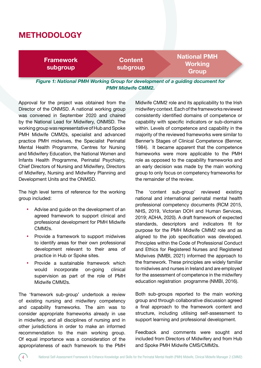### **METHODOLOGY**



*Figure 1: National PMH Working Group for development of a guiding document for PMH Midwife CMM2***.** 

Approval for the project was obtained from the Director of the ONMSD. A national working group was convened in September 2020 and chaired by the National Lead for Midwifery, ONMSD. The working group was representative of Hub and Spoke PMH Midwife CMM2s, specialist and advanced practice PMH midwives, the Specialist Perinatal Mental Health Programme, Centres for Nursing and Midwifery Education, the National Women and Infants Health Programme, Perinatal Psychiatry, Chief Directors of Nursing and Midwifery, Directors of Midwifery, Nursing and Midwifery Planning and Development Units and the ONMSD.

The high level terms of reference for the working group included:

- Advise and guide on the development of an agreed framework to support clinical and professional development for PMH Midwife CMM2s.
- Provide a framework to support midwives to identify areas for their own professional development relevant to their area of practice in Hub or Spoke sites.
- Provide a sustainable framework which would incorporate on-going clinical supervision as part of the role of PMH Midwife CMM2s.

The 'framework sub-group' undertook a review of existing nursing and midwifery competency and capability frameworks. The aim was to consider appropriate frameworks already in use in midwifery, and all disciplines of nursing and in other jurisdictions in order to make an informed recommendation to the main working group. Of equal importance was a consideration of the appropriateness of each framework to the PMH

Midwife CMM2 role and its applicability to the Irish midwifery context. Each of the frameworks reviewed consistently identified domains of competence or capability with specific indicators or sub-domains within. Levels of competence and capability in the majority of the reviewed frameworks were similar to Benner's Stages of Clinical Competence (Benner, 1984). It became apparent that the competence frameworks were more applicable to the PMH role as opposed to the capability frameworks and an early decision was made by the main working group to only focus on competency frameworks for the remainder of the review.

The 'content sub-group' reviewed existing national and international perinatal mental health professional competency documents (RCM 2015, NHS, 2019, Victorian DOH and Human Services, 2019; ADHA, 2020). A draft framework of expected standards, descriptors and indicators fit for purpose for the PMH Midwife CMM2 role and as aligned to the job specification was developed. Principles within the Code of Professional Conduct and Ethics for Registered Nurses and Registered Midwives (NMBI, 2021) informed the approach to the framework. These principles are widely familiar to midwives and nurses in Ireland and are employed for the assessment of competence in the midwifery education registration programme (NMBI, 2016).

Both sub-groups reported to the main working group and through collaborative discussion agreed a final approach to the framework content and structure, including utilising self-assessment to support learning and professional development.

Feedback and comments were sought and included from Directors of Midwifery and from Hub and Spoke PMH Midwife CMS/CMM2s.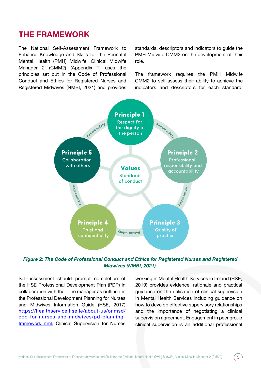### **THE FRAMEWORK**

The National Self-Assessment Framework to Enhance Knowledge and Skills for the Perinatal Mental Health (PMH) Midwife, Clinical Midwife Manager 2 (CMM2) (Appendix 1) uses the principles set out in the Code of Professional Conduct and Ethics for Registered Nurses and Registered Midwives (NMBI, 2021) and provides standards, descriptors and indicators to guide the PMH Midwife CMM2 on the development of their role.

The framework requires the PMH Midwife CMM2 to self-assess their ability to achieve the indicators and descriptors for each standard.



*Figure 2: The Code of Professional Conduct and Ethics for Registered Nurses and Registered Midwives (NMBI, 2021).*

Self-assessment should prompt completion of the HSE Professional Development Plan (PDP) in collaboration with their line manager as outlined in the Professional Development Planning for Nurses and Midwives Information Guide (HSE, 2017) [https://healthservice.hse.ie/about-us/onmsd/](https://scanner.topsec.com/?d=2120&t=e3792ff64f32e46078515ea6878d03de0e8be099&u=https%3A%2F%2Fhealthservice.hse.ie%2Fabout-us%2Fonmsd%2Fcpd-for-nurses-and-midwives%2Fpd-planning-framework.html&r=show) [cpd-for-nurses-and-midwives/pd-planning](https://scanner.topsec.com/?d=2120&t=e3792ff64f32e46078515ea6878d03de0e8be099&u=https%3A%2F%2Fhealthservice.hse.ie%2Fabout-us%2Fonmsd%2Fcpd-for-nurses-and-midwives%2Fpd-planning-framework.html&r=show)[framework.html](https://scanner.topsec.com/?d=2120&t=e3792ff64f32e46078515ea6878d03de0e8be099&u=https%3A%2F%2Fhealthservice.hse.ie%2Fabout-us%2Fonmsd%2Fcpd-for-nurses-and-midwives%2Fpd-planning-framework.html&r=show). Clinical Supervision for Nurses working in Mental Health Services in Ireland (HSE, 2019) provides evidence, rationale and practical guidance on the utilisation of clinical supervision in Mental Health Services including guidance on how to develop effective supervisory relationships and the importance of negotiating a clinical supervision agreement. Engagement in peer group clinical supervision is an additional professional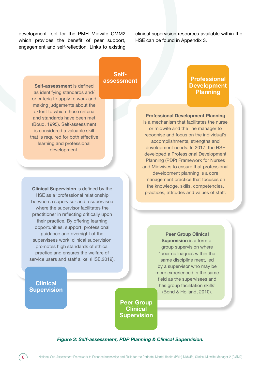development tool for the PMH Midwife CMM2 which provides the benefit of peer support, engagement and self-reflection. Links to existing

clinical supervision resources available within the HSE can be found in Appendix 3.

### **Self-assessment** is defined as identifying standards and/ or criteria to apply to work and making judgements about the extent to which these criteria and standards have been met (Boud, 1995). Self-assessment is considered a valuable skill that is required for both effective learning and professional

development.

HSE as a 'professional relationship between a supervisor and a supervisee where the supervisor facilitates the practitioner in reflecting critically upon their practice. By offering learning opportunities, support, professional guidance and oversight of the supervisees work, clinical supervision promotes high standards of ethical practice and ensures the welfare of service users and staff alike' (HSE,2019).

# **Self-**

### **assessment Professional Development Planning**

**Professional Development Planning**

is a mechanism that facilitates the nurse or midwife and the line manager to recognise and focus on the individual's accomplishments, strengths and development needs. In 2017, the HSE developed a Professional Development Planning (PDP) Framework for Nurses and Midwives to ensure that professional development planning is a core management practice that focuses on the knowledge, skills, competencies, **Clinical Supervision** is defined by the **Clinical Supervision** is defined by the **Clinical Supervision** is defined by the **Clinical Supervision** is defined by the **Clinical Supervision** of staff.

> **Peer Group Clinical Supervision** is a form of group supervision where 'peer colleagues within the same discipline meet, led by a supervisor who may be more experienced in the same field as the supervisees and has group facilitation skills' (Bond & Holland, 2010).

**Clinical Supervision**

> **Peer Group Clinical Supervision**

#### *Figure 3: Self-assessment, PDP Planning & Clinical Supervision.*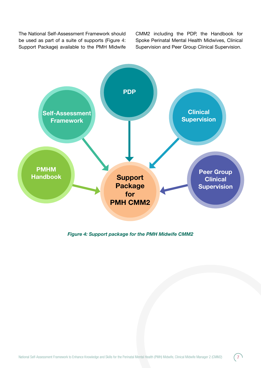The National Self-Assessment Framework should be used as part of a suite of supports (Figure 4: Support Package) available to the PMH Midwife

CMM2 including the PDP, the Handbook for Spoke Perinatal Mental Health Midwives, Clinical Supervision and Peer Group Clinical Supervision.



*Figure 4: Support package for the PMH Midwife CMM2*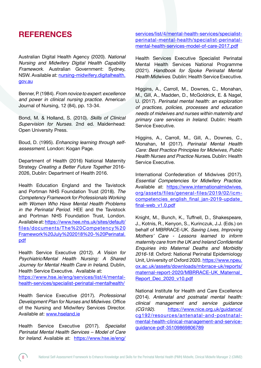### **REFERENCES**

Australian Digital Health Agency (2020). *National Nursing and Midwifery Digital Health Capability Framework.* Australian Government: Sydney, NSW. Available at: [nursing-midwifery.digitalhealth.](http://nursing-midwifery.digitalhealth.gov.au) [gov.au](http://nursing-midwifery.digitalhealth.gov.au) 

Benner, P. (1984). *From novice to expert: excellence and power in clinical nursing practice.* American Journal of Nursing, 12 (84), pp. 13-34.

Bond, M. & Holland, S. (2010). *Skills of Clinical Supervision for Nurses.* 2nd ed. Maidenhead: Open University Press.

Boud, D. (1995). *Enhancing learning through selfassessment*. London: Kogan Page.

Department of Health (2016) National Maternity Strategy *Creating a Better Future Together* 2016- 2026, Dublin: Department of Health 2016.

Health Education England and the Tavistock and Portman NHS Foundation Trust (2018). *The Competency Framework for Professionals Working with Women Who Have Mental Health Problems in the Perinatal Period.* HEE and the Tavistock and Portman NHS Foundation Trust, London. Available at: [https://www.hee.nhs.uk/sites/default/](https://www.hee.nhs.uk/sites/default/files/documents/The%20Competency%20Framework%20July%202018%20-%20Perinatal.pdf) [files/documents/The%20Competency%20](https://www.hee.nhs.uk/sites/default/files/documents/The%20Competency%20Framework%20July%202018%20-%20Perinatal.pdf) [Framework%20July%202018%20-%20Perinatal.](https://www.hee.nhs.uk/sites/default/files/documents/The%20Competency%20Framework%20July%202018%20-%20Perinatal.pdf) [pdf](https://www.hee.nhs.uk/sites/default/files/documents/The%20Competency%20Framework%20July%202018%20-%20Perinatal.pdf)

Health Service Executive (2012). *A Vision for Psychiatric/Mental Health Nursing: A Shared Journey for Mental Health Care in Ireland.* Dublin, Health Service Executive. Available at:

[https://www.hse.ie/eng/services/list/4/mental](https://www.hse.ie/eng/services/list/4/mental-health-services/specialist-perinatal-mentalhealth/)[health-services/specialist-perinatal-mentalhealth/](https://www.hse.ie/eng/services/list/4/mental-health-services/specialist-perinatal-mentalhealth/)

Health Service Executive (2017). *Professional Development Plan for Nurses and Midwives.* Office of the Nursing and Midwifery Services Director. Available at: [www.hseland.ie](http://www.hseland.ie)

Health Service Executive (2017). *Specialist Perinatal Mental Health Services – Model of Care for Ireland.* Available at:[https://www.hse.ie/eng/](https://www.hse.ie/eng/services/list/4/mental-health-services/specialist-perinatal-mental-health/specialist-perinatal-mental-health-services-model-of-care-2017.pdf)

[services/list/4/mental-health-services/specialist](https://www.hse.ie/eng/services/list/4/mental-health-services/specialist-perinatal-mental-health/specialist-perinatal-mental-health-services-model-of-care-2017.pdf)[perinatal-mental-health/specialist-perinatal](https://www.hse.ie/eng/services/list/4/mental-health-services/specialist-perinatal-mental-health/specialist-perinatal-mental-health-services-model-of-care-2017.pdf)[mental-health-services-model-of-care-2017.pdf](https://www.hse.ie/eng/services/list/4/mental-health-services/specialist-perinatal-mental-health/specialist-perinatal-mental-health-services-model-of-care-2017.pdf)

Health Services Executive Specialist Perinatal Mental Health Services National Programme (2021). *Handbook for Spoke Perinatal Mental Health Midwives.* Dublin: Health Service Executive.

Higgins, A., Carroll, M., Downes, C., Monahan, M., Gill, A., Madden, D., McGoldrick, E. & Nagel, U. (2017). *Perinatal mental health: an exploration of practices, policies, processes and education needs of midwives and nurses within maternity and primary care services in Ireland.* Dublin: Health Service Executive.

Higgins, A., Carroll, M., Gill, A., Downes, C., Monahan, M (2017). *Perinatal Mental Health Care: Best Practice Principles for Midwives, Public Health Nurses and Practice Nurses.* Dublin: Health Service Executive.

International Confederation of Midwives (2017). *Essential Competencies for Midwifery Practice.* Available at: [https://www.internationalmidwives.](https://www.internationalmidwives.org/assets/files/general-files/2019/02/icm-competencies_english_final_jan-2019-update_final-web_v1.0.pdf) [org/assets/files/general-files/2019/02/icm](https://www.internationalmidwives.org/assets/files/general-files/2019/02/icm-competencies_english_final_jan-2019-update_final-web_v1.0.pdf)[competencies\\_english\\_final\\_jan-2019-update\\_](https://www.internationalmidwives.org/assets/files/general-files/2019/02/icm-competencies_english_final_jan-2019-update_final-web_v1.0.pdf) [final-web\\_v1.0.pdf](https://www.internationalmidwives.org/assets/files/general-files/2019/02/icm-competencies_english_final_jan-2019-update_final-web_v1.0.pdf)

Knight, M., Bunch, K., Tuffnell, D., Shakespeare, J., Kotnis, R., Kenyon, S., Kurinczuk, J.J. (Eds.) on behalf of MBRRACE-UK*. Saving Lives, Improving*  Mothers' Care - Lessons learned to inform maternity care from the UK and Ireland Confidential *Enquiries into Maternal Deaths and Morbidity 2016-18.* Oxford: National Perinatal Epidemiology Unit, University of Oxford 2020. [https://www.npeu.](https://www.npeu.ox.ac.uk/assets/downloads/mbrrace-uk/reports/maternal-report-2020/MBRRACE-UK_Maternal_Report_Dec_2020_v10.pdf) [ox.ac.uk/assets/downloads/mbrrace-uk/reports/](https://www.npeu.ox.ac.uk/assets/downloads/mbrrace-uk/reports/maternal-report-2020/MBRRACE-UK_Maternal_Report_Dec_2020_v10.pdf) [maternal-report-2020/MBRRACE-UK\\_Maternal\\_](https://www.npeu.ox.ac.uk/assets/downloads/mbrrace-uk/reports/maternal-report-2020/MBRRACE-UK_Maternal_Report_Dec_2020_v10.pdf) [Report\\_Dec\\_2020\\_v10.pdf](https://www.npeu.ox.ac.uk/assets/downloads/mbrrace-uk/reports/maternal-report-2020/MBRRACE-UK_Maternal_Report_Dec_2020_v10.pdf)

National Institute for Health and Care Excellence (2014). *Antenatal and postnatal mental health: clinical management and service guidance (CG192).* [https://www.nice.org.uk/guidance/](https://www.nice.org.uk/guidance/cg192/resources/antenatal-and-postnatal-mental-health-clinical-management-and-service-guidance-pdf-35109869806789) [cg192/resources/antenatal-and-postnatal](https://www.nice.org.uk/guidance/cg192/resources/antenatal-and-postnatal-mental-health-clinical-management-and-service-guidance-pdf-35109869806789)[mental-health-clinical-management-and-service](https://www.nice.org.uk/guidance/cg192/resources/antenatal-and-postnatal-mental-health-clinical-management-and-service-guidance-pdf-35109869806789)[guidance-pdf-35109869806789](https://www.nice.org.uk/guidance/cg192/resources/antenatal-and-postnatal-mental-health-clinical-management-and-service-guidance-pdf-35109869806789)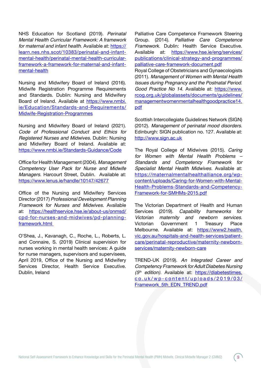NHS Education for Scotland (2019). *Perinatal Mental Health Curricular Framework: A framework*  for maternal and infant health. Available at: [https://](https://learn.nes.nhs.scot/10383/perinatal-and-infant-mental-health/perinatal-mental-health-curricular-framework-a-framework-for-maternal-and-infant-mental-health) [learn.nes.nhs.scot/10383/perinatal-and-infant](https://learn.nes.nhs.scot/10383/perinatal-and-infant-mental-health/perinatal-mental-health-curricular-framework-a-framework-for-maternal-and-infant-mental-health)[mental-health/perinatal-mental-health-curricular](https://learn.nes.nhs.scot/10383/perinatal-and-infant-mental-health/perinatal-mental-health-curricular-framework-a-framework-for-maternal-and-infant-mental-health)[framework-a-framework-for-maternal-and-infant](https://learn.nes.nhs.scot/10383/perinatal-and-infant-mental-health/perinatal-mental-health-curricular-framework-a-framework-for-maternal-and-infant-mental-health)[mental-health](https://learn.nes.nhs.scot/10383/perinatal-and-infant-mental-health/perinatal-mental-health-curricular-framework-a-framework-for-maternal-and-infant-mental-health)

Nursing and Midwifery Board of Ireland (2016). Midwife Registration Programme Requirements and Standards. Dublin: Nursing and Midwifery Board of Ireland. Available at [https://www.nmbi.](https://www.nmbi.ie/Education/Standards-and-Requirements/Midwife-Registration-Programmes) [ie/Education/Standards-and-Requirements/](https://www.nmbi.ie/Education/Standards-and-Requirements/Midwife-Registration-Programmes) [Midwife-Registration-Programmes](https://www.nmbi.ie/Education/Standards-and-Requirements/Midwife-Registration-Programmes)

Nursing and Midwifery Board of Ireland (2021). *Code of Professional Conduct and Ethics for Registered Nurses and Midwives*. Dublin: Nursing and Midwifery Board of Ireland. Available at: [https://www.nmbi.ie/Standards-Guidance/Code](https://scanner.topsec.com/?d=2120&r=show&t=9e5211343f6221faf67fdaad9ea7cb8de450ee2f&u=https%3A%2F%2Fwww.nmbi.ie%2FStandards-Guidance%2FCode)

Office for Health Management (2004). *Management Competency User Pack for Nurse and Midwife Managers.* Harcourt Street, Dublin. Available at: <https://www.lenus.ie/handle/10147/42677>

Office of the Nursing and Midwifery Services Director (2017) *Professional Development Planning Framework for Nurses and Midwives*. Available at: [https://healthservice.hse.ie/about-us/onmsd/](https://scanner.topsec.com/?r=show&t=e3792ff64f32e46078515ea6878d03de0e8be099&u=https%3A%2F%2Fhealthservice.hse.ie%2Fabout-us%2Fonmsd%2Fcpd-for-nurses-and-midwives%2Fpd-planning-framework.html&d=2120) [cpd-for-nurses-and-midwives/pd-planning](https://scanner.topsec.com/?r=show&t=e3792ff64f32e46078515ea6878d03de0e8be099&u=https%3A%2F%2Fhealthservice.hse.ie%2Fabout-us%2Fonmsd%2Fcpd-for-nurses-and-midwives%2Fpd-planning-framework.html&d=2120)[framework.html](https://scanner.topsec.com/?r=show&t=e3792ff64f32e46078515ea6878d03de0e8be099&u=https%3A%2F%2Fhealthservice.hse.ie%2Fabout-us%2Fonmsd%2Fcpd-for-nurses-and-midwives%2Fpd-planning-framework.html&d=2120)

O'Shea, J., Kavanagh, C., Roche, L., Roberts, L. and Connaire, S. (2019) Clinical supervision for nurses working in mental health services: A guide for nurse managers, supervisors and supervisees, April 2019, Office of the Nursing and Midwifery Services Director, Health Service Executive. Dublin, Ireland

Palliative Care Competence Framework Steering Group. (2014). *Palliative Care Competence Framework.* Dublin: Health Service Executive. Available at: [https://www.hse.ie/eng/services/](https://www.hse.ie/eng/services/publications/clinical-strategy-and-programmes/palliative-care-framework-document.pdf) [publications/clinical-strategy-and-programmes/](https://www.hse.ie/eng/services/publications/clinical-strategy-and-programmes/palliative-care-framework-document.pdf) [palliative-care-framework-document.pdf](https://www.hse.ie/eng/services/publications/clinical-strategy-and-programmes/palliative-care-framework-document.pdf)

Royal College of Obstetricians and Gynaecologists (2011). *Management of Women with Mental Health Issues during Pregnancy and the Postnatal Period. Good Practice No 14.* Available at: [https://www.](https://www.rcog.org.uk/globalassets/documents/guidelines/managementwomenmentalhealthgoodpractice14.pdf) [rcog.org.uk/globalassets/documents/guidelines/](https://www.rcog.org.uk/globalassets/documents/guidelines/managementwomenmentalhealthgoodpractice14.pdf) [managementwomenmentalhealthgoodpractice14.](https://www.rcog.org.uk/globalassets/documents/guidelines/managementwomenmentalhealthgoodpractice14.pdf) [pdf](https://www.rcog.org.uk/globalassets/documents/guidelines/managementwomenmentalhealthgoodpractice14.pdf)

Scottish Intercollegiate Guidelines Network (SIGN) (2012). *Management of perinatal mood disorders.* Edinburgh: SIGN publication no. 127. Available at: <http://www.sign.ac.uk>

The Royal College of Midwives (2015). *Caring for Women with Mental Health Problems – Standards and Competency Framework for Specialist Mental Health Midwives.* Available at: [https://maternalmentalhealthalliance.org/wp](https://maternalmentalhealthalliance.org/wp-content/uploads/Caring-for-Women-with-Mental-Health-Problems-Standards-and-Competency-Framework-for-SMHMs-2015.pdf)[content/uploads/Caring-for-Women-with-Mental-](https://maternalmentalhealthalliance.org/wp-content/uploads/Caring-for-Women-with-Mental-Health-Problems-Standards-and-Competency-Framework-for-SMHMs-2015.pdf)[Health-Problems-Standards-and-Competency-](https://maternalmentalhealthalliance.org/wp-content/uploads/Caring-for-Women-with-Mental-Health-Problems-Standards-and-Competency-Framework-for-SMHMs-2015.pdf)[Framework-for-SMHMs-2015.pdf](https://maternalmentalhealthalliance.org/wp-content/uploads/Caring-for-Women-with-Mental-Health-Problems-Standards-and-Competency-Framework-for-SMHMs-2015.pdf)

The Victorian Department of Health and Human Services (2019). *Capability frameworks for Victorian maternity and newborn services.* Victorian Government 1 Treasury Place Melbourne. Available at: [https://www2.health.](https://www2.health.vic.gov.au/hospitals-and-health-services/patient-care/perinatal-reproductive/maternity-newborn-services/maternity-newborn-care) [vic.gov.au/hospitals-and-health-services/patient](https://www2.health.vic.gov.au/hospitals-and-health-services/patient-care/perinatal-reproductive/maternity-newborn-services/maternity-newborn-care)[care/perinatal-reproductive/maternity-newborn](https://www2.health.vic.gov.au/hospitals-and-health-services/patient-care/perinatal-reproductive/maternity-newborn-services/maternity-newborn-care)[services/maternity-newborn-care](https://www2.health.vic.gov.au/hospitals-and-health-services/patient-care/perinatal-reproductive/maternity-newborn-services/maternity-newborn-care)

TREND-UK (2019). *An Integrated Career and Competency Framework for Adult Diabetes Nursing (5th edition).* Available at: [https://diabetestimes.](https://diabetestimes.co.uk/wp-content/uploads/2019/03/Framework_5th_EDN_TREND.pdf) [co.uk/wp-content/uploads/2019/03/](https://diabetestimes.co.uk/wp-content/uploads/2019/03/Framework_5th_EDN_TREND.pdf) [Framework\\_5th\\_EDN\\_TREND.pdf](https://diabetestimes.co.uk/wp-content/uploads/2019/03/Framework_5th_EDN_TREND.pdf)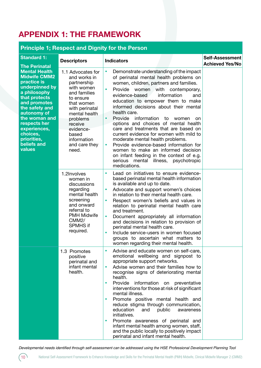### **APPENDIX 1: THE FRAMEWORK**

### **Principle 1; Respect and Dignity for the Person**

| <b>Standard 1:</b><br><b>The Perinatal</b>                                                                                                                                                                                                                                 | <b>Descriptors</b><br><b>Indicators</b>                                                                                                                                                                                            |                                                                                                                                                                                                                                                                                                                                                                                                                                                                                                                                                                                                                                                                                                                                                                      | Self-Assessment<br><b>Achieved Yes/No</b> |
|----------------------------------------------------------------------------------------------------------------------------------------------------------------------------------------------------------------------------------------------------------------------------|------------------------------------------------------------------------------------------------------------------------------------------------------------------------------------------------------------------------------------|----------------------------------------------------------------------------------------------------------------------------------------------------------------------------------------------------------------------------------------------------------------------------------------------------------------------------------------------------------------------------------------------------------------------------------------------------------------------------------------------------------------------------------------------------------------------------------------------------------------------------------------------------------------------------------------------------------------------------------------------------------------------|-------------------------------------------|
| <b>Mental Health</b><br><b>Midwife CMM2</b><br>practice is<br>underpinned by<br>a philosophy<br>that protects<br>and promotes<br>the safety and<br>autonomy of<br>the woman and<br>respects her<br>experiences,<br>choices,<br>priorities,<br><b>beliefs and</b><br>values | 1.1 Advocates for<br>and works in<br>partnership<br>with women<br>and families<br>to ensure<br>that women<br>with perinatal<br>mental health<br>problems<br>receive<br>evidence-<br>based<br>information<br>and care they<br>need. | Demonstrate understanding of the impact<br>$\bullet$<br>of perinatal mental health problems on<br>women, children, partners and families.<br>Provide<br>women with<br>$\bullet$<br>contemporary,<br>evidence-based<br>information<br>and<br>education to empower them to make<br>informed decisions about their mental<br>health care.<br>information<br>$\bullet$<br>Provide<br>to<br>women<br>on.<br>options and choices of mental health<br>care and treatments that are based on<br>current evidence for women with mild to<br>moderate mental health problems.<br>Provide evidence-based information for<br>$\bullet$<br>women to make an informed decision<br>on infant feeding in the context of e.g.<br>serious mental illness, psychotropic<br>medications. |                                           |
|                                                                                                                                                                                                                                                                            | 1.2Involves<br>women in<br>discussions<br>regarding<br>mental health<br>screening<br>and onward<br>referral to<br><b>PMH Midwife</b><br>CMM <sub>2</sub> /<br><b>SPMHS if</b><br>required.                                         | Lead on initiatives to ensure evidence-<br>based perinatal mental health information<br>is available and up to date.<br>Advocate and support women's choices<br>in relation to their mental health care.<br>Respect women's beliefs and values in<br>relation to perinatal mental health care<br>and treatment.<br>Document appropriately all information<br>$\bullet$<br>and decisions in relation to provision of<br>perinatal mental health care.<br>Include service-users in women focused<br>groups to ascertain what matters to<br>women regarding their mental health.                                                                                                                                                                                        |                                           |
|                                                                                                                                                                                                                                                                            | 1.3 Promotes<br>positive<br>perinatal and<br>infant mental<br>health.                                                                                                                                                              | Advise and educate women on self-care,<br>emotional wellbeing and signpost to<br>appropriate support networks.<br>Advise women and their families how to<br>recognise signs of deteriorating mental<br>health.<br>Provide information on preventative<br>interventions for those at risk of significant<br>mental illness.<br>Promote positive mental health and<br>reduce stigma through communication,<br>education<br>public<br>and<br>awareness<br>initiatives.<br>Promote awareness of perinatal and<br>infant mental health among women, staff,<br>and the public locally to positively impact<br>perinatal and infant mental health.                                                                                                                          |                                           |

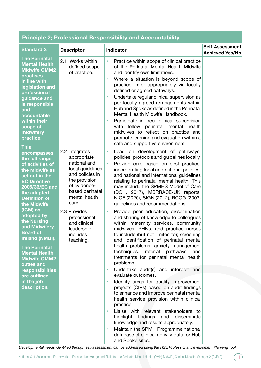| <b>Principle 2; Professional Responsibility and Accountability</b> |  |
|--------------------------------------------------------------------|--|
|                                                                    |  |

| <b>Standard 2:</b>                                                                                                                                                                                                                                  | <b>Descriptor</b>                                                                                                                                                  | <b>Indicator</b>                                                                                                                                                                                                                                                                                                                                                                                                                                                                                                                                                                                                                                                                                                                                                                                                                                                                                                                           | <b>Self-Assessment</b><br><b>Achieved Yes/No</b> |
|-----------------------------------------------------------------------------------------------------------------------------------------------------------------------------------------------------------------------------------------------------|--------------------------------------------------------------------------------------------------------------------------------------------------------------------|--------------------------------------------------------------------------------------------------------------------------------------------------------------------------------------------------------------------------------------------------------------------------------------------------------------------------------------------------------------------------------------------------------------------------------------------------------------------------------------------------------------------------------------------------------------------------------------------------------------------------------------------------------------------------------------------------------------------------------------------------------------------------------------------------------------------------------------------------------------------------------------------------------------------------------------------|--------------------------------------------------|
| <b>The Perinatal</b><br><b>Mental Health</b><br><b>Midwife CMM2</b><br>practises<br>in line with<br>legislation and<br>professional<br>guidance and<br>is responsible<br>and<br>accountable<br>within their<br>scope of<br>midwifery<br>practice.   | 2.1 Works within<br>defined scope<br>of practice.                                                                                                                  | Practice within scope of clinical practice<br>of the Perinatal Mental Health Midwife<br>and identify own limitations.<br>Where a situation is beyond scope of<br>$\bullet$<br>practice, refer appropriately via locally<br>defined or agreed pathways.<br>Undertake regular clinical supervision as<br>۰<br>per locally agreed arrangements within<br>Hub and Spoke as defined in the Perinatal<br>Mental Health Midwife Handbook.<br>Participate in peer clinical supervision<br>۰<br>with fellow perinatal<br>mental health<br>midwives to reflect on practice and<br>promote learning and evaluation within a<br>safe and supportive environment.                                                                                                                                                                                                                                                                                       |                                                  |
| <b>This</b><br>encompasses<br>the full range<br>of activities of<br>the midwife as<br>set out in the<br><b>EC Directive</b><br>2005/36/EC and<br>the adapted<br><b>Definition of</b><br>the Midwife                                                 | 2.2 Integrates<br>appropriate<br>national and<br>local guidelines<br>and policies in<br>the provision<br>of evidence-<br>based perinatal<br>mental health<br>care. | Lead on development of pathways,<br>۰<br>policies, protocols and guidelines locally.<br>$\bullet$<br>Provide care based on best practice,<br>incorporating local and national policies,<br>and national and international guidelines<br>relating to perinatal mental health. This<br>may include the SPMHS Model of Care<br>(DOH, 2017), MBRRACE-UK reports,<br>NICE (2020), SIGN (2012), RCOG (2007)<br>guidelines and recommendations.                                                                                                                                                                                                                                                                                                                                                                                                                                                                                                   |                                                  |
| (ICM) as<br>adopted by<br>the Nursing<br>and Midwifery<br><b>Board of</b><br>Ireland (NMBI).<br><b>The Perinatal</b><br><b>Mental Health</b><br><b>Midwife CMM2</b><br>duties and<br>responsibilities<br>are outlined<br>in the job<br>description. | 2.3 Provides<br>professional<br>and clinical<br>leadership,<br>includes<br>teaching.                                                                               | Provide peer education, dissemination<br>$\bullet$<br>and sharing of knowledge to colleagues<br>within maternity services, community<br>midwives, PHNs, and practice nurses<br>to include (but not limited to); screening<br>and identification of perinatal mental<br>health problems, anxiety management<br>techniques, referral<br>pathways<br>and<br>treatments for perinatal mental health<br>problems.<br>Undertake audit(s) and interpret and<br>۰<br>evaluate outcomes.<br>Identify areas for quality improvement<br>۰<br>projects (QIPs) based on audit findings<br>to enhance and improve perinatal mental<br>health service provision within clinical<br>practice.<br>Liaise with relevant stakeholders to<br>$\bullet$<br>highlight findings and<br>disseminate<br>knowledge and results appropriately.<br>Maintain the SPMH Programme national<br>$\bullet$<br>database of clinical activity data for Hub<br>and Spoke sites. |                                                  |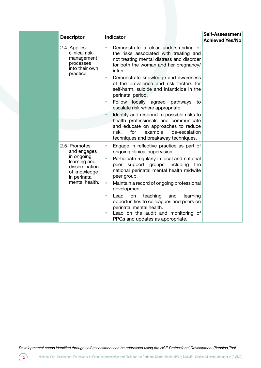|  | <b>Descriptor</b>                                                                                                            | <b>Indicator</b>                                                                                                                                                                                                                                                                                                   | <b>Self-Assessment</b><br><b>Achieved Yes/No</b> |
|--|------------------------------------------------------------------------------------------------------------------------------|--------------------------------------------------------------------------------------------------------------------------------------------------------------------------------------------------------------------------------------------------------------------------------------------------------------------|--------------------------------------------------|
|  | 2.4 Applies<br>clinical risk-<br>management<br>processes<br>into their own<br>practice.                                      | Demonstrate a clear understanding of<br>$\bullet$<br>the risks associated with treating and<br>not treating mental distress and disorder<br>for both the woman and her pregnancy/<br>infant.                                                                                                                       |                                                  |
|  |                                                                                                                              | Demonstrate knowledge and awareness<br>۰<br>of the prevalence and risk factors for<br>self-harm, suicide and infanticide in the<br>perinatal period.                                                                                                                                                               |                                                  |
|  |                                                                                                                              | Follow locally agreed pathways<br>to<br>۰<br>escalate risk where appropriate.                                                                                                                                                                                                                                      |                                                  |
|  |                                                                                                                              | Identify and respond to possible risks to<br>health professionals and communicate<br>and educate on approaches to reduce<br>example<br>for<br>de-escalation<br>risk,<br>techniques and breakaway techniques.                                                                                                       |                                                  |
|  | 2.5 Promotes<br>and engages<br>in ongoing<br>learning and<br>dissemination<br>of knowledge<br>in perinatal<br>mental health. | Engage in reflective practice as part of<br>۰<br>ongoing clinical supervision.<br>Participate regularly in local and national<br>۰<br>including<br>peer support groups<br>the<br>national perinatal mental health midwife<br>peer group.<br>Maintain a record of ongoing professional<br>$\bullet$<br>development. |                                                  |
|  |                                                                                                                              | Lead<br>teaching<br>learning<br>and<br>$\bullet$<br>on<br>opportunities to colleagues and peers on<br>perinatal mental health.<br>Lead on the audit and monitoring of<br>۰<br>PPGs and updates as appropriate.                                                                                                     |                                                  |

 $\mathbf{N}$ 

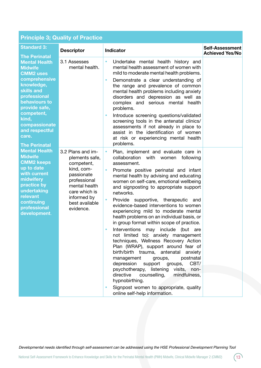### **Principle 3; Quality of Practice**

| <b>Standard 3:</b><br><b>The Perinatal</b>                                                                                                                                                     | <b>Descriptor</b>                                                                                                                                                             | <b>Indicator</b>                                                                                                                                                                                                                                                                                                                                                                                                                                                                                                                                                                                                                                                                                                                                                                                                                                                                                                                                                                                   | <b>Self-Assessment</b><br><b>Achieved Yes/No</b> |
|------------------------------------------------------------------------------------------------------------------------------------------------------------------------------------------------|-------------------------------------------------------------------------------------------------------------------------------------------------------------------------------|----------------------------------------------------------------------------------------------------------------------------------------------------------------------------------------------------------------------------------------------------------------------------------------------------------------------------------------------------------------------------------------------------------------------------------------------------------------------------------------------------------------------------------------------------------------------------------------------------------------------------------------------------------------------------------------------------------------------------------------------------------------------------------------------------------------------------------------------------------------------------------------------------------------------------------------------------------------------------------------------------|--------------------------------------------------|
| <b>Mental Health</b><br><b>Midwife</b><br><b>CMM2</b> uses                                                                                                                                     | 3.1 Assesses<br>mental health.                                                                                                                                                | Undertake mental health history and<br>$\bullet$<br>mental health assessment of women with<br>mild to moderate mental health problems.                                                                                                                                                                                                                                                                                                                                                                                                                                                                                                                                                                                                                                                                                                                                                                                                                                                             |                                                  |
| comprehensive<br>knowledge,<br>skills and<br>professional<br>behaviours to<br>provide safe,                                                                                                    |                                                                                                                                                                               | Demonstrate a clear understanding of<br>۰<br>the range and prevalence of common<br>mental health problems including anxiety<br>disorders and depression as well as<br>complex and serious mental health<br>problems.                                                                                                                                                                                                                                                                                                                                                                                                                                                                                                                                                                                                                                                                                                                                                                               |                                                  |
| competent,<br>kind,<br>compassionate<br>and respectful<br>care.<br><b>The Perinatal</b>                                                                                                        |                                                                                                                                                                               | Introduce screening questions/validated<br>۰<br>screening tools in the antenatal clinics/<br>assessments if not already in place to<br>assist in the identification of women<br>at risk or experiencing mental health<br>problems.                                                                                                                                                                                                                                                                                                                                                                                                                                                                                                                                                                                                                                                                                                                                                                 |                                                  |
| <b>Mental Health</b><br><b>Midwife</b><br><b>CMM2 keeps</b><br>up to date<br>with current<br>midwifery<br>practice by<br>undertaking<br>relevant<br>continuing<br>professional<br>development. | 3.2 Plans and im-<br>plements safe,<br>competent,<br>kind, com-<br>passionate<br>professional<br>mental health<br>care which is<br>informed by<br>best available<br>evidence. | Plan, implement and evaluate care in<br>۰<br>collaboration with women<br>following<br>assessment.<br>Promote positive perinatal and infant<br>mental health by advising and educating<br>women on self-care, emotional wellbeing<br>and signposting to appropriate support<br>networks.<br>Provide supportive, therapeutic and<br>٠<br>evidence-based interventions to women<br>experiencing mild to moderate mental<br>health problems on an individual basis, or<br>in group format within scope of practice.<br>Interventions may include<br>(but are<br>not limited to): anxiety management<br>techniques, Wellness Recovery Action<br>Plan (WRAP), support around fear of<br>birth/birth trauma, antenatal<br>anxiety<br>postnatal<br>management<br>groups,<br>depression<br>CBT/<br>support<br>groups,<br>psychotherapy, listening<br>visits, non-<br>directive<br>counselling,<br>mindfulness,<br>hypnobirthing.<br>Signpost women to appropriate, quality<br>online self-help information. |                                                  |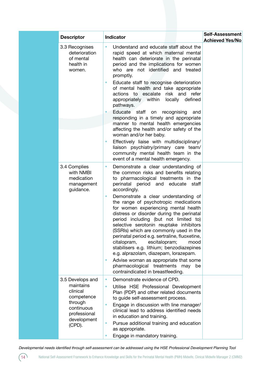| <b>Descriptor</b>                                                                                                         | <b>Indicator</b>                                                                                                                                                                                                                                                                                                                                                                                                                                                                                                                                                                                                                                                                                                                                                                                                | Self-Assessment<br><b>Achieved Yes/No</b> |
|---------------------------------------------------------------------------------------------------------------------------|-----------------------------------------------------------------------------------------------------------------------------------------------------------------------------------------------------------------------------------------------------------------------------------------------------------------------------------------------------------------------------------------------------------------------------------------------------------------------------------------------------------------------------------------------------------------------------------------------------------------------------------------------------------------------------------------------------------------------------------------------------------------------------------------------------------------|-------------------------------------------|
| 3.3 Recognises<br>deterioration<br>of mental<br>health in<br>women.                                                       | Understand and educate staff about the<br>rapid speed at which maternal mental<br>health can deteriorate in the perinatal<br>period and the implications for women<br>who are not identified and treated<br>promptly.<br>Educate staff to recognise deterioration<br>of mental health and take appropriate<br>actions to escalate risk and refer<br>appropriately within locally defined<br>pathways.<br>Educate staff<br>recognising<br>on<br>and<br>responding in a timely and appropriate<br>manner to mental health emergencies<br>affecting the health and/or safety of the<br>woman and/or her baby.<br>Effectively liaise with multidisciplinary/<br>$\bullet$<br>liaison psychiatry/primary care team/                                                                                                  |                                           |
|                                                                                                                           | community mental health team in the<br>event of a mental health emergency.                                                                                                                                                                                                                                                                                                                                                                                                                                                                                                                                                                                                                                                                                                                                      |                                           |
| 3.4 Complies<br>with NMBI<br>medication<br>management<br>guidance.                                                        | Demonstrate a clear understanding of<br>$\bullet$<br>the common risks and benefits relating<br>to pharmacological treatments in the<br>perinatal period and educate staff<br>accordingly.<br>Demonstrate a clear understanding of<br>$\bullet$<br>the range of psychotropic medications<br>for women experiencing mental health<br>distress or disorder during the perinatal<br>period including (but not limited to)<br>selective serotonin reuptake inhibitors<br>(SSRIs) which are commonly used in the<br>perinatal period e.g. sertraline, fluoxetine,<br>citalopram,<br>escitalopram;<br>mood<br>stabilisers e.g. lithium; benzodiazepines<br>e.g. alprazolam, diazepam, lorazepam.<br>Advise woman as appropriate that some<br>pharmacological treatments may<br>be<br>contraindicated in breastfeeding. |                                           |
| 3.5 Develops and<br>maintains<br>clinical<br>competence<br>through<br>continuous<br>professional<br>development<br>(CPD). | Demonstrate evidence of CPD.<br>۰<br>Utilise HSE Professional Development<br>۰<br>Plan (PDP) and other related documents<br>to guide self-assessment process.<br>Engage in discussion with line manager/<br>clinical lead to address identified needs<br>in education and training.<br>Pursue additional training and education<br>as appropriate.<br>Engage in mandatory training.                                                                                                                                                                                                                                                                                                                                                                                                                             |                                           |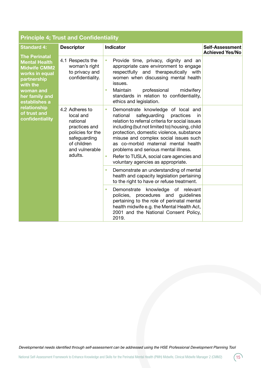| <b>Principle 4; Trust and Confidentiality</b>                                                                                                                    |                                                                                                                                          |                                                                                                                                                                                                                                                                                                                                                                                                                                                                       |                                           |
|------------------------------------------------------------------------------------------------------------------------------------------------------------------|------------------------------------------------------------------------------------------------------------------------------------------|-----------------------------------------------------------------------------------------------------------------------------------------------------------------------------------------------------------------------------------------------------------------------------------------------------------------------------------------------------------------------------------------------------------------------------------------------------------------------|-------------------------------------------|
| <b>Standard 4:</b>                                                                                                                                               | <b>Descriptor</b>                                                                                                                        | <b>Indicator</b>                                                                                                                                                                                                                                                                                                                                                                                                                                                      | Self-Assessment<br><b>Achieved Yes/No</b> |
| <b>The Perinatal</b><br><b>Mental Health</b><br><b>Midwife CMM2</b><br>works in equal<br>partnership<br>with the<br>woman and<br>her family and<br>establishes a | 4.1 Respects the<br>woman's right<br>to privacy and<br>confidentiality.                                                                  | Provide time, privacy, dignity and an<br>appropriate care environment to engage<br>respectfully and therapeutically with<br>women when discussing mental health<br>issues.<br>Maintain<br>professional<br>midwifery<br>$\bullet$<br>standards in relation to confidentiality,<br>ethics and legislation.                                                                                                                                                              |                                           |
| relationship<br>of trust and<br>confidentiality                                                                                                                  | 4.2 Adheres to<br>local and<br>national<br>practices and<br>policies for the<br>safeguarding<br>of children<br>and vulnerable<br>adults. | Demonstrate knowledge of local and<br>$\bullet$<br>national<br>safeguarding<br>practices<br>in<br>relation to referral criteria for social issues<br>including (but not limited to) housing, child<br>protection, domestic violence, substance<br>misuse and complex social issues such<br>as co-morbid maternal mental health<br>problems and serious mental illness.<br>Refer to TUSLA, social care agencies and<br>$\bullet$<br>voluntary agencies as appropriate. |                                           |
|                                                                                                                                                                  |                                                                                                                                          | Demonstrate an understanding of mental<br>۰<br>health and capacity legislation pertaining<br>to the right to have or refuse treatment.                                                                                                                                                                                                                                                                                                                                |                                           |
|                                                                                                                                                                  |                                                                                                                                          | Demonstrate<br>knowledge of relevant<br>$\bullet$<br>policies, procedures and guidelines<br>pertaining to the role of perinatal mental<br>health midwife e.g. the Mental Health Act,<br>2001 and the National Consent Policy,<br>2019.                                                                                                                                                                                                                                |                                           |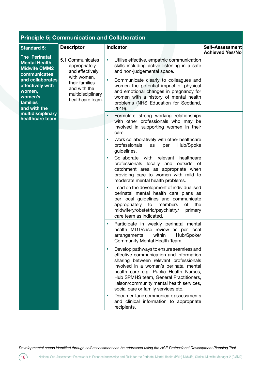|                                                                                       | <b>Principle 5; Communication and Collaboration</b>                                                                                            |                                                                                                                                                                                                                                                                                                                                                                                                                  |                                           |
|---------------------------------------------------------------------------------------|------------------------------------------------------------------------------------------------------------------------------------------------|------------------------------------------------------------------------------------------------------------------------------------------------------------------------------------------------------------------------------------------------------------------------------------------------------------------------------------------------------------------------------------------------------------------|-------------------------------------------|
| <b>Standard 5:</b>                                                                    | <b>Descriptor</b>                                                                                                                              | <b>Indicator</b>                                                                                                                                                                                                                                                                                                                                                                                                 | Self-Assessment<br><b>Achieved Yes/No</b> |
| <b>The Perinatal</b><br><b>Mental Health</b><br><b>Midwife CMM2</b><br>communicates   | 5.1 Communicates<br>appropriately<br>and effectively<br>with women,<br>their families<br>and with the<br>multidisciplinary<br>healthcare team. | Utilise effective, empathic communication<br>skills including active listening in a safe<br>and non-judgemental space.                                                                                                                                                                                                                                                                                           |                                           |
| and collaborates<br>effectively with<br>women,<br>women's<br>families<br>and with the |                                                                                                                                                | Communicate clearly to colleagues and<br>women the potential impact of physical<br>and emotional changes in pregnancy for<br>women with a history of mental health<br>problems (NHS Education for Scotland,<br>2019).                                                                                                                                                                                            |                                           |
| multidisciplinary<br>healthcare team                                                  |                                                                                                                                                | Formulate strong working relationships<br>with other professionals who may be<br>involved in supporting women in their<br>care.                                                                                                                                                                                                                                                                                  |                                           |
|                                                                                       |                                                                                                                                                | Work collaboratively with other healthcare<br>professionals<br>Hub/Spoke<br>per<br>as<br>guidelines.                                                                                                                                                                                                                                                                                                             |                                           |
|                                                                                       |                                                                                                                                                | Collaborate<br>with relevant<br>healthcare<br>professionals locally and outside of<br>catchment area as appropriate when<br>providing care to women with mild to<br>moderate mental health problems.                                                                                                                                                                                                             |                                           |
|                                                                                       |                                                                                                                                                | Lead on the development of individualised<br>$\bullet$<br>perinatal mental health care plans as<br>per local guidelines and communicate<br>appropriately to<br>members<br>of<br>the<br>midwifery/obstetric/psychiatry/<br>primary<br>care team as indicated.                                                                                                                                                     |                                           |
|                                                                                       |                                                                                                                                                | Participate in weekly perinatal mental<br>health MDT/case review as per local<br>within<br>Hub/Spoke/<br>arrangements<br>Community Mental Health Team.                                                                                                                                                                                                                                                           |                                           |
|                                                                                       |                                                                                                                                                | Develop pathways to ensure seamless and<br>$\bullet$<br>effective communication and information<br>sharing between relevant professionals<br>involved in a woman's perinatal mental<br>health care e.g. Public Health Nurses,<br>Hub SPMHS team, General Practitioners,<br>liaison/community mental health services,<br>social care or family services etc.<br>Document and communicate assessments<br>$\bullet$ |                                           |
|                                                                                       |                                                                                                                                                | and clinical information to appropriate<br>recipients.                                                                                                                                                                                                                                                                                                                                                           |                                           |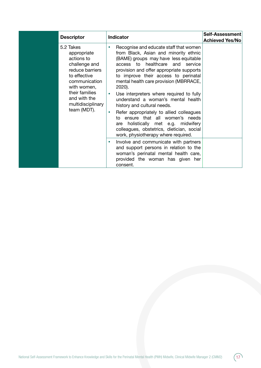| <b>Descriptor</b>                                                                                                                                                                                | <b>Indicator</b>                                                                                                                                                                                                                                                                                                                                                                                                                                                                                                                                                                                                                                                 | Self-Assessment<br><b>Achieved Yes/No</b> |
|--------------------------------------------------------------------------------------------------------------------------------------------------------------------------------------------------|------------------------------------------------------------------------------------------------------------------------------------------------------------------------------------------------------------------------------------------------------------------------------------------------------------------------------------------------------------------------------------------------------------------------------------------------------------------------------------------------------------------------------------------------------------------------------------------------------------------------------------------------------------------|-------------------------------------------|
| 5.2 Takes<br>appropriate<br>actions to<br>challenge and<br>reduce barriers<br>to effective<br>communication<br>with women,<br>their families<br>and with the<br>multidisciplinary<br>team (MDT). | Recognise and educate staff that women<br>from Black, Asian and minority ethnic<br>(BAME) groups may have less equitable<br>access to healthcare and<br>service<br>provision and offer appropriate supports<br>to improve their access to perinatal<br>mental health care provision (MBRRACE,<br>2020).<br>Use interpreters where required to fully<br>$\bullet$<br>understand a woman's mental health<br>history and cultural needs.<br>Refer appropriately to allied colleagues<br>$\bullet$<br>to ensure that all women's needs<br>holistically met e.g. midwifery<br>are<br>colleagues, obstetrics, dietician, social<br>work, physiotherapy where required. |                                           |
|                                                                                                                                                                                                  | Involve and communicate with partners<br>۰<br>and support persons in relation to the<br>woman's perinatal mental health care,<br>provided the woman has given her<br>consent.                                                                                                                                                                                                                                                                                                                                                                                                                                                                                    |                                           |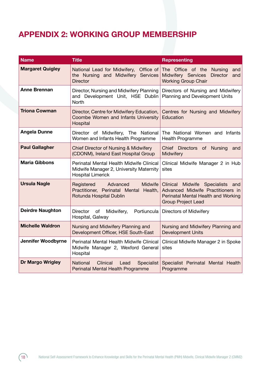### **APPENDIX 2: WORKING GROUP MEMBERSHIP**

| <b>Name</b>               | <b>Title</b>                                                                                                                                     | <b>Representing</b>                                                                                                                          |
|---------------------------|--------------------------------------------------------------------------------------------------------------------------------------------------|----------------------------------------------------------------------------------------------------------------------------------------------|
| <b>Margaret Quigley</b>   | National Lead for Midwifery,<br>Office of<br>the Nursing and Midwifery Services<br><b>Director</b>                                               | The Office of the<br><b>Nursing</b><br>and<br>Midwifery Services<br><b>Director</b><br>and<br><b>Working Group Chair</b>                     |
| <b>Anne Brennan</b>       | Director, Nursing and Midwifery Planning<br>and Development Unit, HSE Dublin<br><b>North</b>                                                     | Directors of Nursing and Midwifery<br><b>Planning and Development Units</b>                                                                  |
| <b>Triona Cowman</b>      | Director, Centre for Midwifery Education,<br>Coombe Women and Infants University<br>Hospital                                                     | Centres for Nursing and Midwifery<br>Education                                                                                               |
| <b>Angela Dunne</b>       | Director of Midwifery, The National<br>Women and Infants Health Programme                                                                        | The National Women and Infants<br>Health Programme                                                                                           |
| <b>Paul Gallagher</b>     | <b>Chief Director of Nursing &amp; Midwifery</b><br>(CDONM), Ireland East Hospital Group                                                         | Chief Directors of Nursing<br>and<br>Midwifery                                                                                               |
| <b>Maria Gibbons</b>      | Perinatal Mental Health Midwife Clinical<br>Midwife Manager 2, University Maternity<br><b>Hospital Limerick</b>                                  | Clinical Midwife Manager 2 in Hub<br>sites                                                                                                   |
| <b>Ursula Nagle</b>       | <b>Midwife</b><br>Registered<br>Advanced<br>Practitioner, Perinatal Mental Health,<br>Rotunda Hospital Dublin                                    | Clinical<br>Midwife Specialists and<br>Advanced Midwife Practitioners in<br>Perinatal Mental Health and Working<br><b>Group Project Lead</b> |
| <b>Deirdre Naughton</b>   | Midwifery,<br>Portiuncula<br><b>Director</b><br>of<br>Hospital, Galway                                                                           | <b>Directors of Midwifery</b>                                                                                                                |
| <b>Michelle Waldron</b>   | Nursing and Midwifery Planning and<br>Development Officer, HSE South-East                                                                        | Nursing and Midwifery Planning and<br><b>Development Units</b>                                                                               |
| <b>Jennifer Woodbyrne</b> | Perinatal Mental Health Midwife Clinical<br>Midwife Manager 2, Wexford General<br>Hospital                                                       | Clinical Midwife Manager 2 in Spoke<br>sites                                                                                                 |
| Dr Margo Wrigley          | <b>National</b><br>Clinical<br><b>Specialist</b><br>Specialist Perinatal Mental Health<br>Lead<br>Perinatal Mental Health Programme<br>Programme |                                                                                                                                              |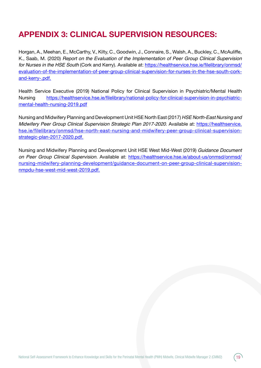### **APPENDIX 3: CLINICAL SUPERVISION RESOURCES:**

Horgan, A., Meehan, E., McCarthy, V., Kilty, C., Goodwin, J., Connaire, S., Walsh, A., Buckley, C., McAuliffe, K., Saab, M. (2020) *Report on the Evaluation of the Implementation of Peer Group Clinical Supervision for Nurses in the HSE South* (Cork and Kerry). Available at: [https://healthservice.hse.ie/filelibrary/onmsd/](https://healthservice.hse.ie/filelibrary/onmsd/evaluation-of-the-implementation-of-peer-group-clinical-supervision-for-nurses-in-the-hse-south-cork-and-kerry-.pdf) [evaluation-of-the-implementation-of-peer-group-clinical-supervision-for-nurses-in-the-hse-south-cork](https://healthservice.hse.ie/filelibrary/onmsd/evaluation-of-the-implementation-of-peer-group-clinical-supervision-for-nurses-in-the-hse-south-cork-and-kerry-.pdf)[and-kerry-.pdf](https://healthservice.hse.ie/filelibrary/onmsd/evaluation-of-the-implementation-of-peer-group-clinical-supervision-for-nurses-in-the-hse-south-cork-and-kerry-.pdf).

Health Service Executive (2019) National Policy for Clinical Supervision in Psychiatric/Mental Health Nursing [https://healthservice.hse.ie/filelibrary/national-policy-for-clinical-supervision-in-psychiatric](https://healthservice.hse.ie/filelibrary/national-policy-for-clinical-supervision-in-psychiatric-mental-health-nursing-2019.pdf)[mental-health-nursing-2019.pdf](https://healthservice.hse.ie/filelibrary/national-policy-for-clinical-supervision-in-psychiatric-mental-health-nursing-2019.pdf)

Nursing and Midwifery Planning and Development Unit HSE North East (2017) *HSE North-East Nursing and Midwifery Peer Group Clinical Supervision Strategic Plan 2017-2020.* Available at: [https://healthservice.](https://healthservice.hse.ie/filelibrary/onmsd/hse-north-east-nursing-and-midwifery-peer-group-clinical-supervision-strategic-plan-2017-2020.pdf) [hse.ie/filelibrary/onmsd/hse-north-east-nursing-and-midwifery-peer-group-clinical-supervision](https://healthservice.hse.ie/filelibrary/onmsd/hse-north-east-nursing-and-midwifery-peer-group-clinical-supervision-strategic-plan-2017-2020.pdf)[strategic-plan-2017-2020.pdf](https://healthservice.hse.ie/filelibrary/onmsd/hse-north-east-nursing-and-midwifery-peer-group-clinical-supervision-strategic-plan-2017-2020.pdf).

Nursing and Midwifery Planning and Development Unit HSE West Mid-West (2019) *Guidance Document on Peer Group Clinical Supervision.* Available at: [https://healthservice.hse.ie/about-us/onmsd/onmsd/](https://healthservice.hse.ie/about-us/onmsd/onmsd/nursing-midwifery-planning-development/guidance-document-on-peer-group-clinical-supervision-nmpdu-hse-west-mid-west-2019.pdf) [nursing-midwifery-planning-development/guidance-document-on-peer-group-clinical-supervision](https://healthservice.hse.ie/about-us/onmsd/onmsd/nursing-midwifery-planning-development/guidance-document-on-peer-group-clinical-supervision-nmpdu-hse-west-mid-west-2019.pdf)[nmpdu-hse-west-mid-west-2019.pdf.](https://healthservice.hse.ie/about-us/onmsd/onmsd/nursing-midwifery-planning-development/guidance-document-on-peer-group-clinical-supervision-nmpdu-hse-west-mid-west-2019.pdf)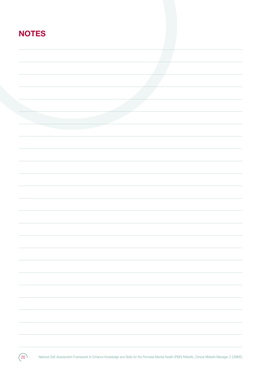| <b>NOTES</b> |
|--------------|
|              |
|              |
|              |
|              |
|              |
|              |
|              |
|              |
|              |
|              |
|              |
|              |
|              |
|              |
|              |
|              |
|              |
|              |
|              |
|              |
|              |
|              |
|              |
|              |
|              |
|              |
|              |
|              |
|              |
|              |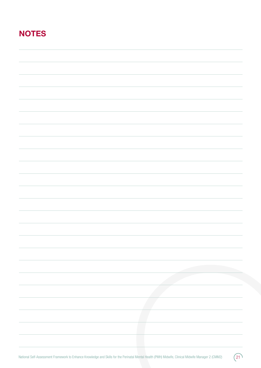# **NOTES**

| التاريخ |
|---------|
|         |
|         |
|         |
|         |
|         |
|         |
|         |
|         |
|         |
|         |
|         |